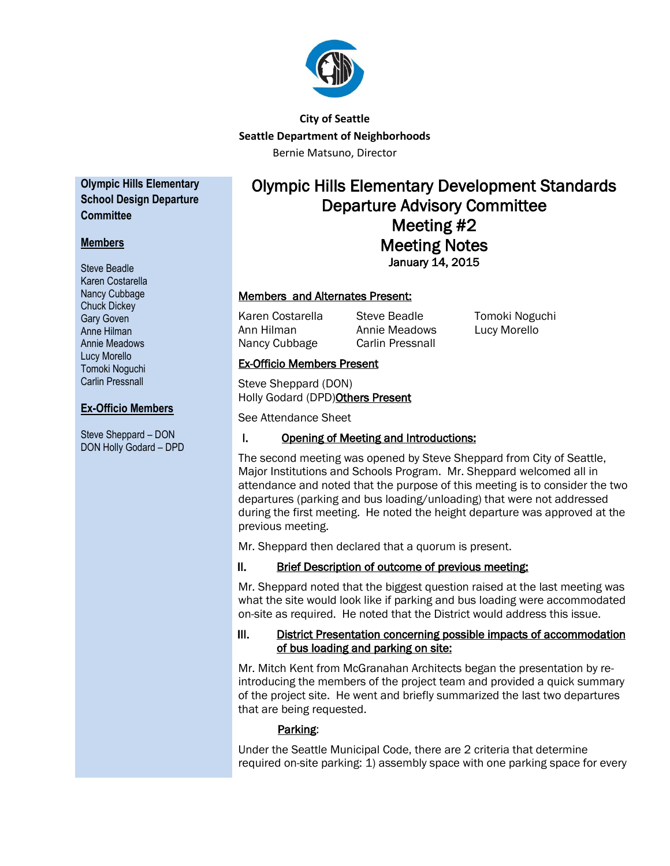

# **City of Seattle Seattle Department of Neighborhoods** Bernie Matsuno, Director

**Olympic Hills Elementary School Design Departure Committee**

## **Members**

Steve Beadle Karen Costarella Nancy Cubbage Chuck Dickey Gary Goven Anne Hilman Annie Meadows Lucy Morello Tomoki Noguchi Carlin Pressnall

## **Ex-Officio Members**

Steve Sheppard – DON DON Holly Godard – DPD

# Olympic Hills Elementary Development Standards Departure Advisory Committee Meeting #2 Meeting Notes January 14, 2015

## Members and Alternates Present:

Ann Hilman Annie Meadows Lucy Morello Nancy Cubbage Carlin Pressnall

Karen Costarella Steve Beadle Tomoki Noguchi

## Ex-Officio Members Present

Steve Sheppard (DON) Holly Godard (DPD)Others Present

See Attendance Sheet

# I. Opening of Meeting and Introductions:

The second meeting was opened by Steve Sheppard from City of Seattle, Major Institutions and Schools Program. Mr. Sheppard welcomed all in attendance and noted that the purpose of this meeting is to consider the two departures (parking and bus loading/unloading) that were not addressed during the first meeting. He noted the height departure was approved at the previous meeting.

Mr. Sheppard then declared that a quorum is present.

# II. Brief Description of outcome of previous meeting:

Mr. Sheppard noted that the biggest question raised at the last meeting was what the site would look like if parking and bus loading were accommodated on-site as required. He noted that the District would address this issue.

#### III. District Presentation concerning possible impacts of accommodation of bus loading and parking on site:

Mr. Mitch Kent from McGranahan Architects began the presentation by reintroducing the members of the project team and provided a quick summary of the project site. He went and briefly summarized the last two departures that are being requested.

# Parking:

Under the Seattle Municipal Code, there are 2 criteria that determine required on-site parking: 1) assembly space with one parking space for every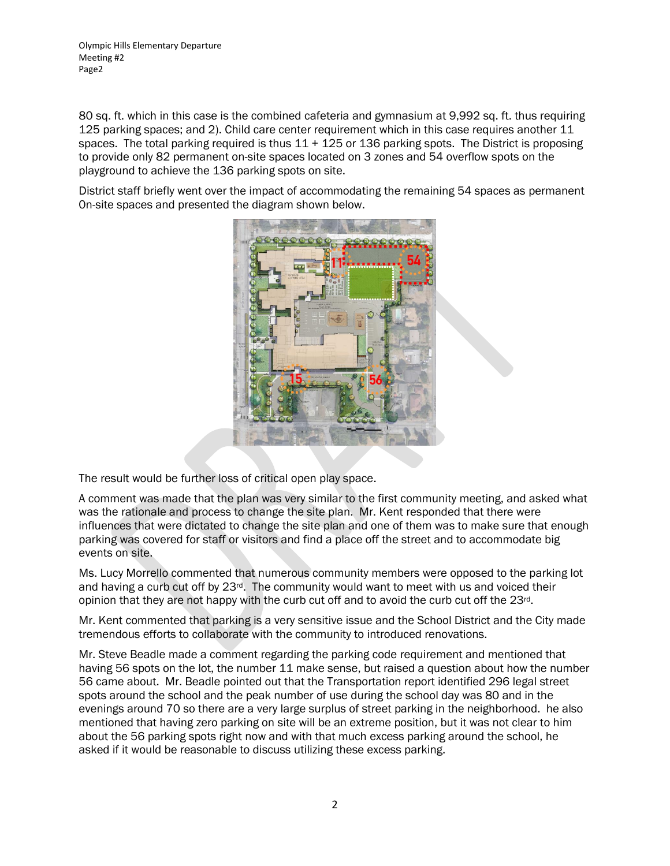Olympic Hills Elementary Departure Meeting #2 Page2

80 sq. ft. which in this case is the combined cafeteria and gymnasium at 9,992 sq. ft. thus requiring 125 parking spaces; and 2). Child care center requirement which in this case requires another 11 spaces. The total parking required is thus  $11 + 125$  or 136 parking spots. The District is proposing to provide only 82 permanent on-site spaces located on 3 zones and 54 overflow spots on the playground to achieve the 136 parking spots on site.

District staff briefly went over the impact of accommodating the remaining 54 spaces as permanent 0n-site spaces and presented the diagram shown below.



The result would be further loss of critical open play space.

A comment was made that the plan was very similar to the first community meeting, and asked what was the rationale and process to change the site plan. Mr. Kent responded that there were influences that were dictated to change the site plan and one of them was to make sure that enough parking was covered for staff or visitors and find a place off the street and to accommodate big events on site.

Ms. Lucy Morrello commented that numerous community members were opposed to the parking lot and having a curb cut off by 23rd. The community would want to meet with us and voiced their opinion that they are not happy with the curb cut off and to avoid the curb cut off the  $23<sup>rd</sup>$ .

Mr. Kent commented that parking is a very sensitive issue and the School District and the City made tremendous efforts to collaborate with the community to introduced renovations.

Mr. Steve Beadle made a comment regarding the parking code requirement and mentioned that having 56 spots on the lot, the number 11 make sense, but raised a question about how the number 56 came about. Mr. Beadle pointed out that the Transportation report identified 296 legal street spots around the school and the peak number of use during the school day was 80 and in the evenings around 70 so there are a very large surplus of street parking in the neighborhood. he also mentioned that having zero parking on site will be an extreme position, but it was not clear to him about the 56 parking spots right now and with that much excess parking around the school, he asked if it would be reasonable to discuss utilizing these excess parking.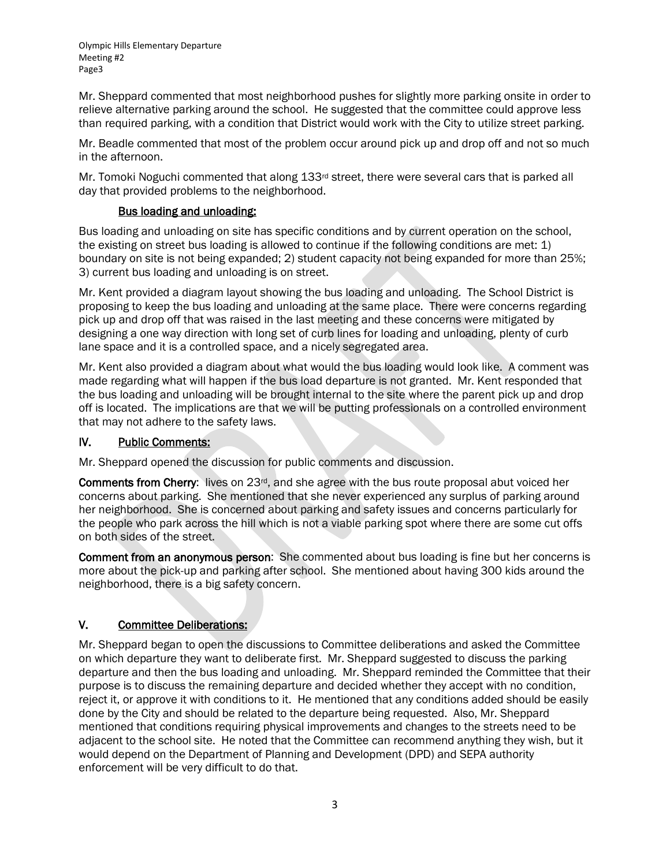Mr. Sheppard commented that most neighborhood pushes for slightly more parking onsite in order to relieve alternative parking around the school. He suggested that the committee could approve less than required parking, with a condition that District would work with the City to utilize street parking.

Mr. Beadle commented that most of the problem occur around pick up and drop off and not so much in the afternoon.

Mr. Tomoki Noguchi commented that along  $133<sup>rd</sup>$  street, there were several cars that is parked all day that provided problems to the neighborhood.

#### Bus loading and unloading:

Bus loading and unloading on site has specific conditions and by current operation on the school, the existing on street bus loading is allowed to continue if the following conditions are met: 1) boundary on site is not being expanded; 2) student capacity not being expanded for more than 25%; 3) current bus loading and unloading is on street.

Mr. Kent provided a diagram layout showing the bus loading and unloading. The School District is proposing to keep the bus loading and unloading at the same place. There were concerns regarding pick up and drop off that was raised in the last meeting and these concerns were mitigated by designing a one way direction with long set of curb lines for loading and unloading, plenty of curb lane space and it is a controlled space, and a nicely segregated area.

Mr. Kent also provided a diagram about what would the bus loading would look like. A comment was made regarding what will happen if the bus load departure is not granted. Mr. Kent responded that the bus loading and unloading will be brought internal to the site where the parent pick up and drop off is located. The implications are that we will be putting professionals on a controlled environment that may not adhere to the safety laws.

#### IV. Public Comments:

Mr. Sheppard opened the discussion for public comments and discussion.

**Comments from Cherry:** lives on  $23<sup>rd</sup>$ , and she agree with the bus route proposal abut voiced her concerns about parking. She mentioned that she never experienced any surplus of parking around her neighborhood. She is concerned about parking and safety issues and concerns particularly for the people who park across the hill which is not a viable parking spot where there are some cut offs on both sides of the street.

Comment from an anonymous person: She commented about bus loading is fine but her concerns is more about the pick-up and parking after school. She mentioned about having 300 kids around the neighborhood, there is a big safety concern.

#### V. Committee Deliberations:

Mr. Sheppard began to open the discussions to Committee deliberations and asked the Committee on which departure they want to deliberate first. Mr. Sheppard suggested to discuss the parking departure and then the bus loading and unloading. Mr. Sheppard reminded the Committee that their purpose is to discuss the remaining departure and decided whether they accept with no condition, reject it, or approve it with conditions to it. He mentioned that any conditions added should be easily done by the City and should be related to the departure being requested. Also, Mr. Sheppard mentioned that conditions requiring physical improvements and changes to the streets need to be adjacent to the school site. He noted that the Committee can recommend anything they wish, but it would depend on the Department of Planning and Development (DPD) and SEPA authority enforcement will be very difficult to do that.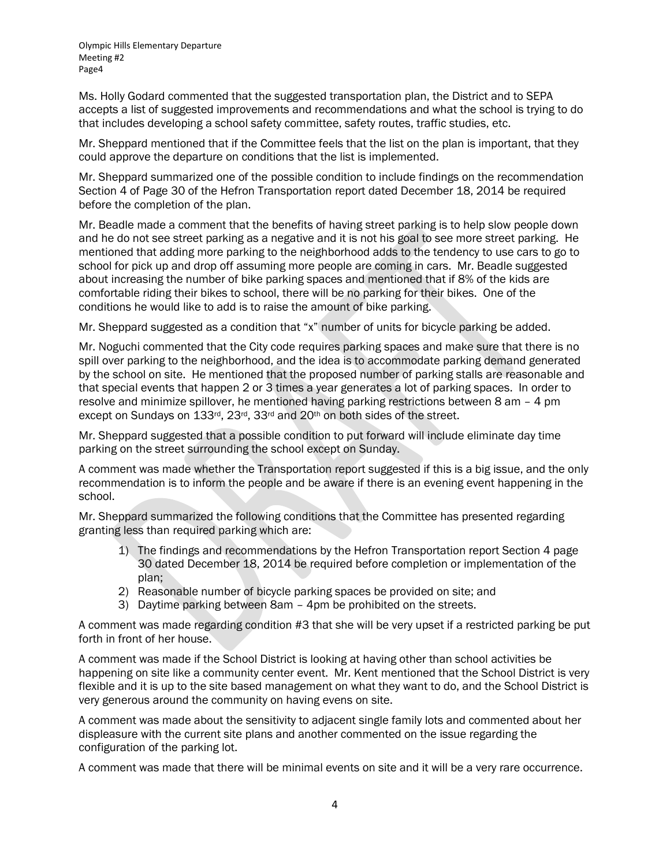Olympic Hills Elementary Departure Meeting #2 Page4

Ms. Holly Godard commented that the suggested transportation plan, the District and to SEPA accepts a list of suggested improvements and recommendations and what the school is trying to do that includes developing a school safety committee, safety routes, traffic studies, etc.

Mr. Sheppard mentioned that if the Committee feels that the list on the plan is important, that they could approve the departure on conditions that the list is implemented.

Mr. Sheppard summarized one of the possible condition to include findings on the recommendation Section 4 of Page 30 of the Hefron Transportation report dated December 18, 2014 be required before the completion of the plan.

Mr. Beadle made a comment that the benefits of having street parking is to help slow people down and he do not see street parking as a negative and it is not his goal to see more street parking. He mentioned that adding more parking to the neighborhood adds to the tendency to use cars to go to school for pick up and drop off assuming more people are coming in cars. Mr. Beadle suggested about increasing the number of bike parking spaces and mentioned that if 8% of the kids are comfortable riding their bikes to school, there will be no parking for their bikes. One of the conditions he would like to add is to raise the amount of bike parking.

Mr. Sheppard suggested as a condition that "x" number of units for bicycle parking be added.

Mr. Noguchi commented that the City code requires parking spaces and make sure that there is no spill over parking to the neighborhood, and the idea is to accommodate parking demand generated by the school on site. He mentioned that the proposed number of parking stalls are reasonable and that special events that happen 2 or 3 times a year generates a lot of parking spaces. In order to resolve and minimize spillover, he mentioned having parking restrictions between 8 am – 4 pm except on Sundays on 133rd, 23rd, 33rd and 20th on both sides of the street.

Mr. Sheppard suggested that a possible condition to put forward will include eliminate day time parking on the street surrounding the school except on Sunday.

A comment was made whether the Transportation report suggested if this is a big issue, and the only recommendation is to inform the people and be aware if there is an evening event happening in the school.

Mr. Sheppard summarized the following conditions that the Committee has presented regarding granting less than required parking which are:

- 1) The findings and recommendations by the Hefron Transportation report Section 4 page 30 dated December 18, 2014 be required before completion or implementation of the plan;
- 2) Reasonable number of bicycle parking spaces be provided on site; and
- 3) Daytime parking between 8am 4pm be prohibited on the streets.

A comment was made regarding condition #3 that she will be very upset if a restricted parking be put forth in front of her house.

A comment was made if the School District is looking at having other than school activities be happening on site like a community center event. Mr. Kent mentioned that the School District is very flexible and it is up to the site based management on what they want to do, and the School District is very generous around the community on having evens on site.

A comment was made about the sensitivity to adjacent single family lots and commented about her displeasure with the current site plans and another commented on the issue regarding the configuration of the parking lot.

A comment was made that there will be minimal events on site and it will be a very rare occurrence.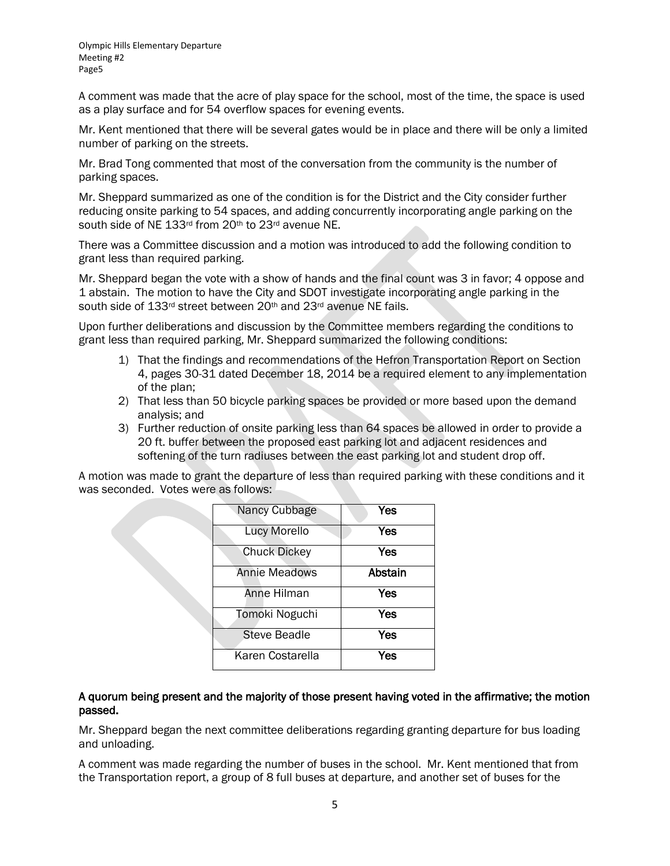A comment was made that the acre of play space for the school, most of the time, the space is used as a play surface and for 54 overflow spaces for evening events.

Mr. Kent mentioned that there will be several gates would be in place and there will be only a limited number of parking on the streets.

Mr. Brad Tong commented that most of the conversation from the community is the number of parking spaces.

Mr. Sheppard summarized as one of the condition is for the District and the City consider further reducing onsite parking to 54 spaces, and adding concurrently incorporating angle parking on the south side of NE 133rd from 20th to 23rd avenue NE.

There was a Committee discussion and a motion was introduced to add the following condition to grant less than required parking.

Mr. Sheppard began the vote with a show of hands and the final count was 3 in favor; 4 oppose and 1 abstain. The motion to have the City and SDOT investigate incorporating angle parking in the south side of 133<sup>rd</sup> street between 20<sup>th</sup> and 23<sup>rd</sup> avenue NE fails.

Upon further deliberations and discussion by the Committee members regarding the conditions to grant less than required parking, Mr. Sheppard summarized the following conditions:

- 1) That the findings and recommendations of the Hefron Transportation Report on Section 4, pages 30-31 dated December 18, 2014 be a required element to any implementation of the plan;
- 2) That less than 50 bicycle parking spaces be provided or more based upon the demand analysis; and
- 3) Further reduction of onsite parking less than 64 spaces be allowed in order to provide a 20 ft. buffer between the proposed east parking lot and adjacent residences and softening of the turn radiuses between the east parking lot and student drop off.

A motion was made to grant the departure of less than required parking with these conditions and it was seconded. Votes were as follows:

| Nancy Cubbage        | Yes     |
|----------------------|---------|
| <b>Lucy Morello</b>  | Yes     |
| <b>Chuck Dickey</b>  | Yes     |
| <b>Annie Meadows</b> | Abstain |
| Anne Hilman          | Yes     |
| Tomoki Noguchi       | Yes     |
| <b>Steve Beadle</b>  | Yes     |
| Karen Costarella     | Yes     |

#### A quorum being present and the majority of those present having voted in the affirmative; the motion passed.

Mr. Sheppard began the next committee deliberations regarding granting departure for bus loading and unloading.

A comment was made regarding the number of buses in the school. Mr. Kent mentioned that from the Transportation report, a group of 8 full buses at departure, and another set of buses for the